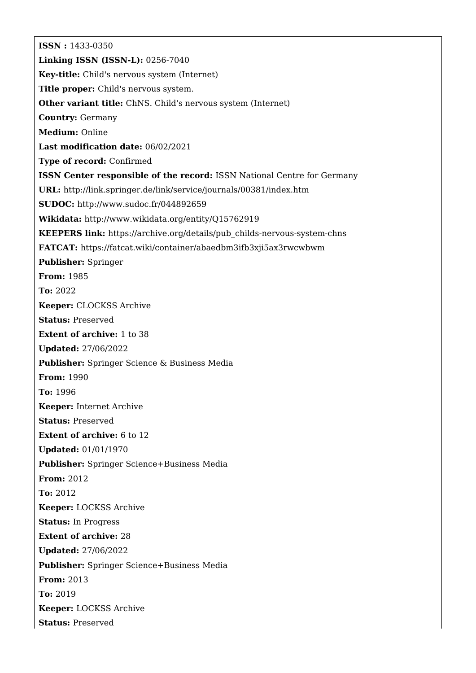**ISSN :** 1433-0350 **Linking ISSN (ISSN-L):** 0256-7040 **Key-title:** Child's nervous system (Internet) **Title proper:** Child's nervous system. **Other variant title:** ChNS. Child's nervous system (Internet) **Country:** Germany **Medium:** Online **Last modification date:** 06/02/2021 **Type of record:** Confirmed **ISSN Center responsible of the record:** ISSN National Centre for Germany **URL:** <http://link.springer.de/link/service/journals/00381/index.htm> **SUDOC:** <http://www.sudoc.fr/044892659> **Wikidata:** <http://www.wikidata.org/entity/Q15762919> **KEEPERS link:** [https://archive.org/details/pub\\_childs-nervous-system-chns](https://archive.org/details/pub_childs-nervous-system-chns) **FATCAT:** <https://fatcat.wiki/container/abaedbm3ifb3xji5ax3rwcwbwm> **Publisher:** Springer **From:** 1985 **To:** 2022 **Keeper:** CLOCKSS Archive **Status:** Preserved **Extent of archive:** 1 to 38 **Updated:** 27/06/2022 **Publisher:** Springer Science & Business Media **From:** 1990 **To:** 1996 **Keeper:** Internet Archive **Status:** Preserved **Extent of archive:** 6 to 12 **Updated:** 01/01/1970 **Publisher:** Springer Science+Business Media **From:** 2012 **To:** 2012 **Keeper:** LOCKSS Archive **Status:** In Progress **Extent of archive:** 28 **Updated:** 27/06/2022 **Publisher:** Springer Science+Business Media **From:** 2013 **To:** 2019 **Keeper:** LOCKSS Archive **Status:** Preserved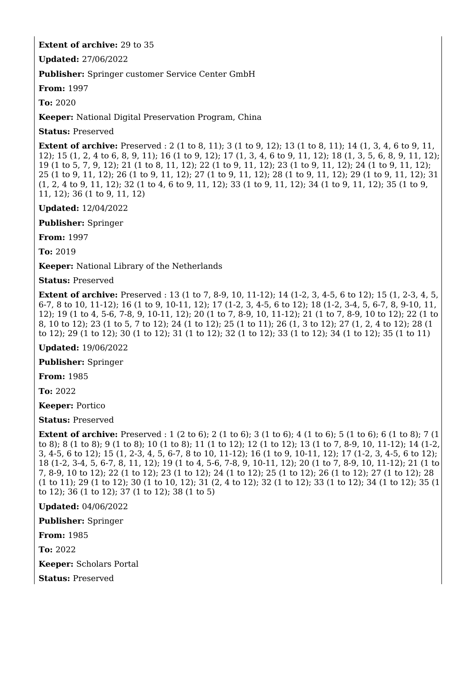## **Extent of archive:** 29 to 35

**Updated:** 27/06/2022

**Publisher:** Springer customer Service Center GmbH

**From:** 1997

**To:** 2020

**Keeper:** National Digital Preservation Program, China

**Status:** Preserved

**Extent of archive:** Preserved : 2 (1 to 8, 11); 3 (1 to 9, 12); 13 (1 to 8, 11); 14 (1, 3, 4, 6 to 9, 11, 12); 15 (1, 2, 4 to 6, 8, 9, 11); 16 (1 to 9, 12); 17 (1, 3, 4, 6 to 9, 11, 12); 18 (1, 3, 5, 6, 8, 9, 11, 12); 19 (1 to 5, 7, 9, 12); 21 (1 to 8, 11, 12); 22 (1 to 9, 11, 12); 23 (1 to 9, 11, 12); 24 (1 to 9, 11, 12); 25 (1 to 9, 11, 12); 26 (1 to 9, 11, 12); 27 (1 to 9, 11, 12); 28 (1 to 9, 11, 12); 29 (1 to 9, 11, 12); 31 (1, 2, 4 to 9, 11, 12); 32 (1 to 4, 6 to 9, 11, 12); 33 (1 to 9, 11, 12); 34 (1 to 9, 11, 12); 35 (1 to 9, 11, 12); 36 (1 to 9, 11, 12)

**Updated:** 12/04/2022

**Publisher:** Springer

**From:** 1997

**To:** 2019

**Keeper:** National Library of the Netherlands

**Status:** Preserved

**Extent of archive:** Preserved : 13 (1 to 7, 8-9, 10, 11-12); 14 (1-2, 3, 4-5, 6 to 12); 15 (1, 2-3, 4, 5, 6-7, 8 to 10, 11-12); 16 (1 to 9, 10-11, 12); 17 (1-2, 3, 4-5, 6 to 12); 18 (1-2, 3-4, 5, 6-7, 8, 9-10, 11, 12); 19 (1 to 4, 5-6, 7-8, 9, 10-11, 12); 20 (1 to 7, 8-9, 10, 11-12); 21 (1 to 7, 8-9, 10 to 12); 22 (1 to 8, 10 to 12); 23 (1 to 5, 7 to 12); 24 (1 to 12); 25 (1 to 11); 26 (1, 3 to 12); 27 (1, 2, 4 to 12); 28 (1 to 12); 29 (1 to 12); 30 (1 to 12); 31 (1 to 12); 32 (1 to 12); 33 (1 to 12); 34 (1 to 12); 35 (1 to 11)

**Updated:** 19/06/2022

**Publisher:** Springer

**From:** 1985

**To:** 2022

**Keeper:** Portico

**Status:** Preserved

**Extent of archive:** Preserved : 1 (2 to 6); 2 (1 to 6); 3 (1 to 6); 4 (1 to 6); 5 (1 to 6); 6 (1 to 8); 7 (1 to 8); 8 (1 to 8); 9 (1 to 8); 10 (1 to 8); 11 (1 to 12); 12 (1 to 12); 13 (1 to 7, 8-9, 10, 11-12); 14 (1-2, 3, 4-5, 6 to 12); 15 (1, 2-3, 4, 5, 6-7, 8 to 10, 11-12); 16 (1 to 9, 10-11, 12); 17 (1-2, 3, 4-5, 6 to 12); 18 (1-2, 3-4, 5, 6-7, 8, 11, 12); 19 (1 to 4, 5-6, 7-8, 9, 10-11, 12); 20 (1 to 7, 8-9, 10, 11-12); 21 (1 to 7, 8-9, 10 to 12); 22 (1 to 12); 23 (1 to 12); 24 (1 to 12); 25 (1 to 12); 26 (1 to 12); 27 (1 to 12); 28 (1 to 11); 29 (1 to 12); 30 (1 to 10, 12); 31 (2, 4 to 12); 32 (1 to 12); 33 (1 to 12); 34 (1 to 12); 35 (1 to 12); 36 (1 to 12); 37 (1 to 12); 38 (1 to 5)

**Updated:** 04/06/2022

**Publisher:** Springer

**From:** 1985

**To:** 2022

**Keeper:** Scholars Portal

**Status:** Preserved